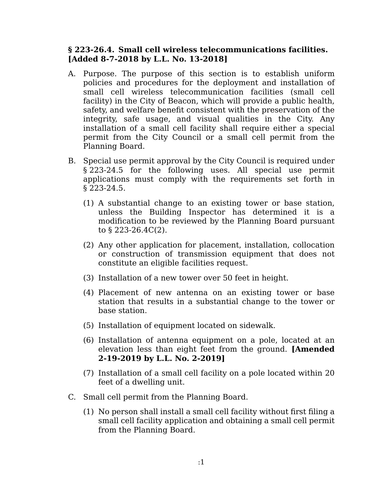## **§ 223-26.4. Small cell wireless telecommunications facilities. [Added 8-7-2018 by L.L. No. 13-2018]**

- A. Purpose. The purpose of this section is to establish uniform policies and procedures for the deployment and installation of small cell wireless telecommunication facilities (small cell facility) in the City of Beacon, which will provide a public health, safety, and welfare benefit consistent with the preservation of the integrity, safe usage, and visual qualities in the City. Any installation of a small cell facility shall require either a special permit from the City Council or a small cell permit from the Planning Board.
- B. Special use permit approval by the City Council is required under § 223-24.5 for the following uses. All special use permit applications must comply with the requirements set forth in § 223-24.5.
	- (1) A substantial change to an existing tower or base station, unless the Building Inspector has determined it is a modification to be reviewed by the Planning Board pursuant to § 223-26.4C(2).
	- (2) Any other application for placement, installation, collocation or construction of transmission equipment that does not constitute an eligible facilities request.
	- (3) Installation of a new tower over 50 feet in height.
	- (4) Placement of new antenna on an existing tower or base station that results in a substantial change to the tower or base station.
	- (5) Installation of equipment located on sidewalk.
	- (6) Installation of antenna equipment on a pole, located at an elevation less than eight feet from the ground. **[Amended 2-19-2019 by L.L. No. 2-2019]**
	- (7) Installation of a small cell facility on a pole located within 20 feet of a dwelling unit.
- C. Small cell permit from the Planning Board.
	- (1) No person shall install a small cell facility without first filing a small cell facility application and obtaining a small cell permit from the Planning Board.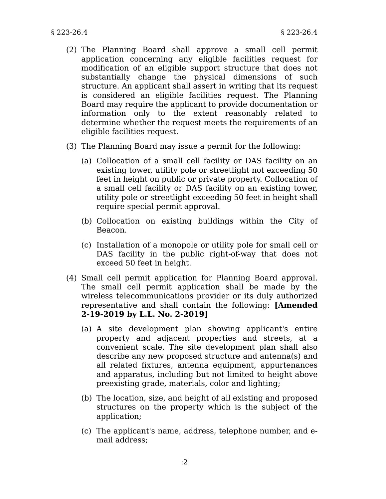- (2) The Planning Board shall approve a small cell permit application concerning any eligible facilities request for modification of an eligible support structure that does not substantially change the physical dimensions of such structure. An applicant shall assert in writing that its request is considered an eligible facilities request. The Planning Board may require the applicant to provide documentation or information only to the extent reasonably related to determine whether the request meets the requirements of an eligible facilities request.
- (3) The Planning Board may issue a permit for the following:
	- (a) Collocation of a small cell facility or DAS facility on an existing tower, utility pole or streetlight not exceeding 50 feet in height on public or private property. Collocation of a small cell facility or DAS facility on an existing tower, utility pole or streetlight exceeding 50 feet in height shall require special permit approval.
	- (b) Collocation on existing buildings within the City of Beacon.
	- (c) Installation of a monopole or utility pole for small cell or DAS facility in the public right-of-way that does not exceed 50 feet in height.
- (4) Small cell permit application for Planning Board approval. The small cell permit application shall be made by the wireless telecommunications provider or its duly authorized representative and shall contain the following: **[Amended 2-19-2019 by L.L. No. 2-2019]**
	- (a) A site development plan showing applicant's entire property and adjacent properties and streets, at a convenient scale. The site development plan shall also describe any new proposed structure and antenna(s) and all related fixtures, antenna equipment, appurtenances and apparatus, including but not limited to height above preexisting grade, materials, color and lighting;
	- (b) The location, size, and height of all existing and proposed structures on the property which is the subject of the application;
	- (c) The applicant's name, address, telephone number, and email address;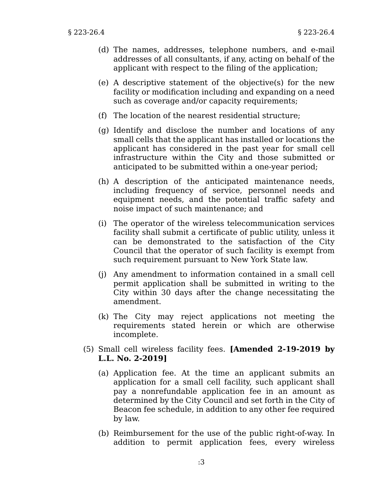- (d) The names, addresses, telephone numbers, and e-mail addresses of all consultants, if any, acting on behalf of the applicant with respect to the filing of the application;
- (e) A descriptive statement of the objective(s) for the new facility or modification including and expanding on a need such as coverage and/or capacity requirements;
- (f) The location of the nearest residential structure;
- (g) Identify and disclose the number and locations of any small cells that the applicant has installed or locations the applicant has considered in the past year for small cell infrastructure within the City and those submitted or anticipated to be submitted within a one-year period;
- (h) A description of the anticipated maintenance needs, including frequency of service, personnel needs and equipment needs, and the potential traffic safety and noise impact of such maintenance; and
- (i) The operator of the wireless telecommunication services facility shall submit a certificate of public utility, unless it can be demonstrated to the satisfaction of the City Council that the operator of such facility is exempt from such requirement pursuant to New York State law.
- (j) Any amendment to information contained in a small cell permit application shall be submitted in writing to the City within 30 days after the change necessitating the amendment.
- (k) The City may reject applications not meeting the requirements stated herein or which are otherwise incomplete.
- (5) Small cell wireless facility fees. **[Amended 2-19-2019 by L.L. No. 2-2019]**
	- (a) Application fee. At the time an applicant submits an application for a small cell facility, such applicant shall pay a nonrefundable application fee in an amount as determined by the City Council and set forth in the City of Beacon fee schedule, in addition to any other fee required by law.
	- (b) Reimbursement for the use of the public right-of-way. In addition to permit application fees, every wireless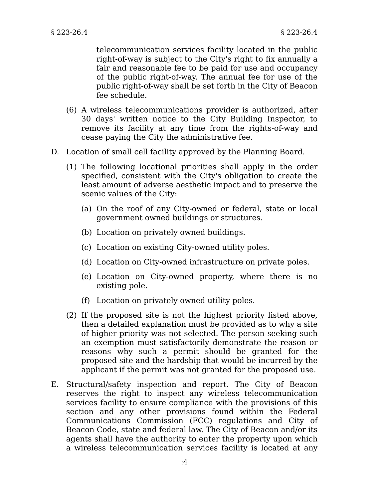telecommunication services facility located in the public right-of-way is subject to the City's right to fix annually a fair and reasonable fee to be paid for use and occupancy of the public right-of-way. The annual fee for use of the public right-of-way shall be set forth in the City of Beacon fee schedule.

- (6) A wireless telecommunications provider is authorized, after 30 days' written notice to the City Building Inspector, to remove its facility at any time from the rights-of-way and cease paying the City the administrative fee.
- D. Location of small cell facility approved by the Planning Board.
	- (1) The following locational priorities shall apply in the order specified, consistent with the City's obligation to create the least amount of adverse aesthetic impact and to preserve the scenic values of the City:
		- (a) On the roof of any City-owned or federal, state or local government owned buildings or structures.
		- (b) Location on privately owned buildings.
		- (c) Location on existing City-owned utility poles.
		- (d) Location on City-owned infrastructure on private poles.
		- (e) Location on City-owned property, where there is no existing pole.
		- (f) Location on privately owned utility poles.
	- (2) If the proposed site is not the highest priority listed above, then a detailed explanation must be provided as to why a site of higher priority was not selected. The person seeking such an exemption must satisfactorily demonstrate the reason or reasons why such a permit should be granted for the proposed site and the hardship that would be incurred by the applicant if the permit was not granted for the proposed use.
- E. Structural/safety inspection and report. The City of Beacon reserves the right to inspect any wireless telecommunication services facility to ensure compliance with the provisions of this section and any other provisions found within the Federal Communications Commission (FCC) regulations and City of Beacon Code, state and federal law. The City of Beacon and/or its agents shall have the authority to enter the property upon which a wireless telecommunication services facility is located at any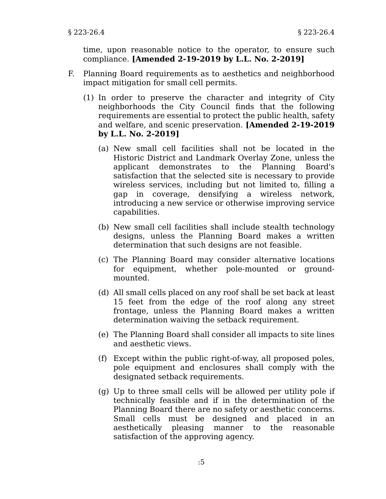time, upon reasonable notice to the operator, to ensure such compliance. **[Amended 2-19-2019 by L.L. No. 2-2019]**

- F. Planning Board requirements as to aesthetics and neighborhood impact mitigation for small cell permits.
	- (1) In order to preserve the character and integrity of City neighborhoods the City Council finds that the following requirements are essential to protect the public health, safety and welfare, and scenic preservation. **[Amended 2-19-2019 by L.L. No. 2-2019]**
		- (a) New small cell facilities shall not be located in the Historic District and Landmark Overlay Zone, unless the applicant demonstrates to the Planning Board's satisfaction that the selected site is necessary to provide wireless services, including but not limited to, filling a gap in coverage, densifying a wireless network, introducing a new service or otherwise improving service capabilities.
		- (b) New small cell facilities shall include stealth technology designs, unless the Planning Board makes a written determination that such designs are not feasible.
		- (c) The Planning Board may consider alternative locations for equipment, whether pole-mounted or groundmounted.
		- (d) All small cells placed on any roof shall be set back at least 15 feet from the edge of the roof along any street frontage, unless the Planning Board makes a written determination waiving the setback requirement.
		- (e) The Planning Board shall consider all impacts to site lines and aesthetic views.
		- (f) Except within the public right-of-way, all proposed poles, pole equipment and enclosures shall comply with the designated setback requirements.
		- (g) Up to three small cells will be allowed per utility pole if technically feasible and if in the determination of the Planning Board there are no safety or aesthetic concerns. Small cells must be designed and placed in an aesthetically pleasing manner to the reasonable satisfaction of the approving agency.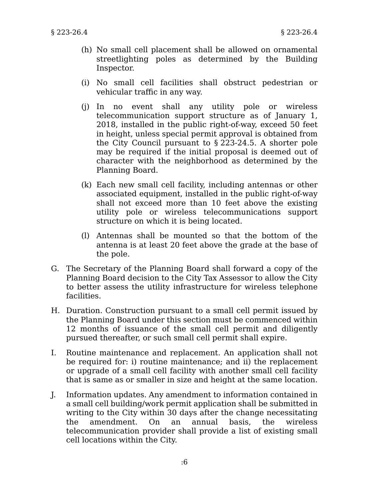- (h) No small cell placement shall be allowed on ornamental streetlighting poles as determined by the Building Inspector.
- (i) No small cell facilities shall obstruct pedestrian or vehicular traffic in any way.
- (j) In no event shall any utility pole or wireless telecommunication support structure as of January 1, 2018, installed in the public right-of-way, exceed 50 feet in height, unless special permit approval is obtained from the City Council pursuant to § 223-24.5. A shorter pole may be required if the initial proposal is deemed out of character with the neighborhood as determined by the Planning Board.
- (k) Each new small cell facility, including antennas or other associated equipment, installed in the public right-of-way shall not exceed more than 10 feet above the existing utility pole or wireless telecommunications support structure on which it is being located.
- (l) Antennas shall be mounted so that the bottom of the antenna is at least 20 feet above the grade at the base of the pole.
- G. The Secretary of the Planning Board shall forward a copy of the Planning Board decision to the City Tax Assessor to allow the City to better assess the utility infrastructure for wireless telephone facilities.
- H. Duration. Construction pursuant to a small cell permit issued by the Planning Board under this section must be commenced within 12 months of issuance of the small cell permit and diligently pursued thereafter, or such small cell permit shall expire.
- I. Routine maintenance and replacement. An application shall not be required for: i) routine maintenance; and ii) the replacement or upgrade of a small cell facility with another small cell facility that is same as or smaller in size and height at the same location.
- J. Information updates. Any amendment to information contained in a small cell building/work permit application shall be submitted in writing to the City within 30 days after the change necessitating the amendment. On an annual basis, the wireless telecommunication provider shall provide a list of existing small cell locations within the City.